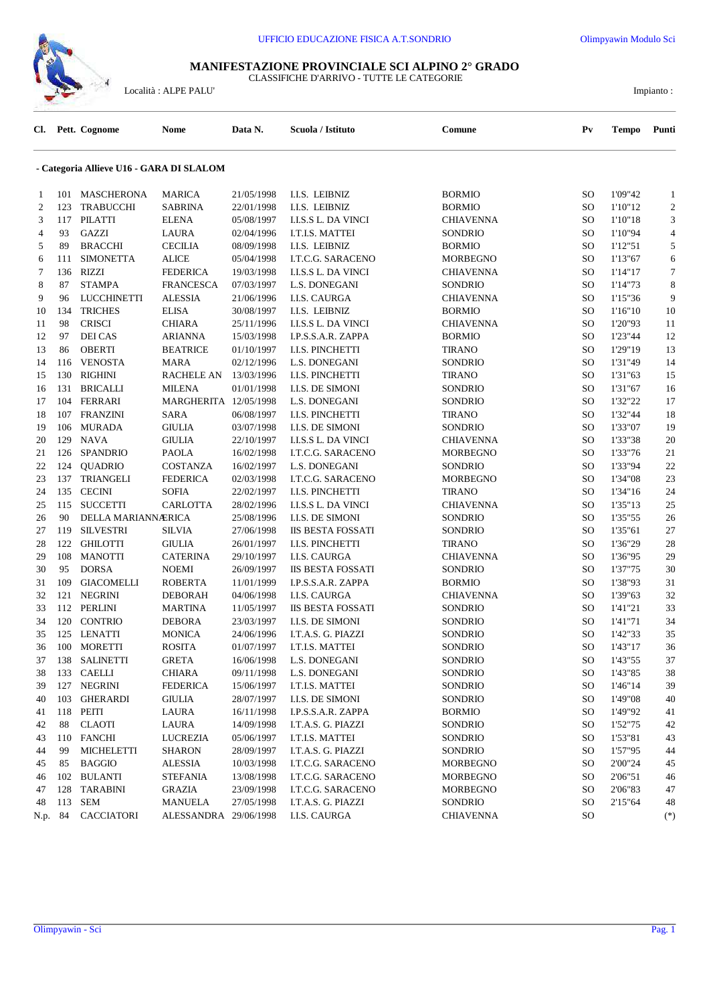

## **MANIFESTAZIONE PROVINCIALE SCI ALPINO 2° GRADO** CLASSIFICHE D'ARRIVO - TUTTE LE CATEGORIE

 $\Large \textbf{Località}: \textbf{ALPE PALU'} \textbf{ \textcolor{red}{\textbf{I}l}} \qquad \qquad \textbf{Impianto:}$ 

| CI.            |     | Pett. Cognome                            | Nome                  | Data N.    | Scuola / Istituto        | Comune           | $P_{V}$ | Tempo   | Punti          |
|----------------|-----|------------------------------------------|-----------------------|------------|--------------------------|------------------|---------|---------|----------------|
|                |     | - Categoria Allieve U16 - GARA DI SLALOM |                       |            |                          |                  |         |         |                |
| 1              |     | 101 MASCHERONA                           | <b>MARICA</b>         | 21/05/1998 | <b>I.I.S. LEIBNIZ</b>    | <b>BORMIO</b>    | SO      | 1'09"42 | 1              |
| $\overline{2}$ | 123 | <b>TRABUCCHI</b>                         | <b>SABRINA</b>        | 22/01/1998 | I.I.S. LEIBNIZ           | <b>BORMIO</b>    | SO      | 1'10"12 | $\overline{c}$ |
| 3              | 117 | <b>PILATTI</b>                           | <b>ELENA</b>          | 05/08/1997 | I.I.S.S L. DA VINCI      | <b>CHIAVENNA</b> | SO      | 1'10"18 | 3              |
| 4              | 93  | <b>GAZZI</b>                             | LAURA                 | 02/04/1996 | I.T.I.S. MATTEI          | SONDRIO          | SO      | 1'10"94 | 4              |
| 5              | 89  | <b>BRACCHI</b>                           | <b>CECILIA</b>        | 08/09/1998 | I.I.S. LEIBNIZ           | <b>BORMIO</b>    | SO      | 1'12"51 | 5              |
| 6              | 111 | <b>SIMONETTA</b>                         | <b>ALICE</b>          | 05/04/1998 | <b>I.T.C.G. SARACENO</b> | <b>MORBEGNO</b>  | SO      | 1'13"67 | 6              |
| 7              | 136 | <b>RIZZI</b>                             | <b>FEDERICA</b>       | 19/03/1998 | I.I.S.S L. DA VINCI      | <b>CHIAVENNA</b> | SO      | 1'14"17 | 7              |
| 8              | 87  | <b>STAMPA</b>                            | <b>FRANCESCA</b>      | 07/03/1997 | L.S. DONEGANI            | SONDRIO          | SO      | 1'14"73 | 8              |
| 9              | 96  | <b>LUCCHINETTI</b>                       | <b>ALESSIA</b>        | 21/06/1996 | I.I.S. CAURGA            | <b>CHIAVENNA</b> | SO      | 1'15"36 | 9              |
| 10             | 134 | <b>TRICHES</b>                           | <b>ELISA</b>          | 30/08/1997 | I.I.S. LEIBNIZ           | <b>BORMIO</b>    | SO      | 1'16"10 | 10             |
| 11             | 98  | <b>CRISCI</b>                            | <b>CHIARA</b>         | 25/11/1996 | I.I.S.S L. DA VINCI      | CHIAVENNA        | SO      | 1'20"93 | 11             |
| 12             | 97  | <b>DEI CAS</b>                           | ARIANNA               | 15/03/1998 | I.P.S.S.A.R. ZAPPA       | <b>BORMIO</b>    | SO      | 1'23"44 | 12             |
| 13             | 86  | <b>OBERTI</b>                            | <b>BEATRICE</b>       | 01/10/1997 | I.I.S. PINCHETTI         | <b>TIRANO</b>    | SO      | 1'29"19 | 13             |
| 14             | 116 | <b>VENOSTA</b>                           | <b>MARA</b>           | 02/12/1996 | L.S. DONEGANI            | SONDRIO          | SO      | 1'31"49 | 14             |
| 15             | 130 | <b>RIGHINI</b>                           | <b>RACHELE AN</b>     | 13/03/1996 | <b>I.I.S. PINCHETTI</b>  | <b>TIRANO</b>    | SO      | 1'31"63 | 15             |
| 16             | 131 | <b>BRICALLI</b>                          | <b>MILENA</b>         | 01/01/1998 | I.I.S. DE SIMONI         | SONDRIO          | SO      | 1'31"67 | 16             |
| 17             | 104 | <b>FERRARI</b>                           | MARGHERITA 12/05/1998 |            | L.S. DONEGANI            | SONDRIO          | SO      | 1'32"22 | 17             |
| 18             | 107 | <b>FRANZINI</b>                          | SARA                  | 06/08/1997 | <b>I.I.S. PINCHETTI</b>  | <b>TIRANO</b>    | SO      | 1'32"44 | 18             |
| 19             | 106 | <b>MURADA</b>                            | <b>GIULIA</b>         | 03/07/1998 | I.I.S. DE SIMONI         | <b>SONDRIO</b>   | SO      | 1'33"07 | 19             |
| 20             | 129 | <b>NAVA</b>                              | <b>GIULIA</b>         | 22/10/1997 | I.I.S.S L. DA VINCI      | <b>CHIAVENNA</b> | SO      | 1'33"38 | 20             |
| 21             | 126 | <b>SPANDRIO</b>                          | <b>PAOLA</b>          | 16/02/1998 | <b>I.T.C.G. SARACENO</b> | <b>MORBEGNO</b>  | SO      | 1'33"76 | 21             |
| 22             | 124 | <b>QUADRIO</b>                           | COSTANZA              | 16/02/1997 | L.S. DONEGANI            | SONDRIO          | SO      | 1'33"94 | 22             |
| 23             | 137 | <b>TRIANGELI</b>                         | <b>FEDERICA</b>       | 02/03/1998 | I.T.C.G. SARACENO        | <b>MORBEGNO</b>  | SO      | 1'34"08 | 23             |
| 24             | 135 | <b>CECINI</b>                            | <b>SOFIA</b>          | 22/02/1997 | <b>I.I.S. PINCHETTI</b>  | <b>TIRANO</b>    | SO      | 1'34"16 | 24             |
| 25             | 115 | <b>SUCCETTI</b>                          | CARLOTTA              | 28/02/1996 | I.I.S.S L. DA VINCI      | <b>CHIAVENNA</b> | SO      | 1'35"13 | 25             |
| 26             | 90  | DELLA MARIANNÆRICA                       |                       | 25/08/1996 | I.I.S. DE SIMONI         | SONDRIO          | SO      | 1'35"55 | 26             |
| 27             | 119 | <b>SILVESTRI</b>                         | SILVIA                | 27/06/1998 | <b>IIS BESTA FOSSATI</b> | SONDRIO          | SO      | 1'35"61 | 27             |
| 28             | 122 | <b>GHILOTTI</b>                          | <b>GIULIA</b>         | 26/01/1997 | <b>I.I.S. PINCHETTI</b>  | <b>TIRANO</b>    | SO      | 1'36"29 | 28             |
| 29             | 108 | <b>MANOTTI</b>                           | <b>CATERINA</b>       | 29/10/1997 | I.I.S. CAURGA            | <b>CHIAVENNA</b> | SO      | 1'36"95 | 29             |
| 30             | 95  | <b>DORSA</b>                             | <b>NOEMI</b>          | 26/09/1997 | <b>IIS BESTA FOSSATI</b> | SONDRIO          | SO      | 1'37"75 | 30             |
| 31             | 109 | <b>GIACOMELLI</b>                        | <b>ROBERTA</b>        | 11/01/1999 | I.P.S.S.A.R. ZAPPA       | <b>BORMIO</b>    | SO      | 1'38"93 | 31             |
| 32             | 121 | <b>NEGRINI</b>                           | <b>DEBORAH</b>        | 04/06/1998 | <b>I.I.S. CAURGA</b>     | CHIAVENNA        | SO      | 1'39"63 | 32             |
| 33             | 112 | <b>PERLINI</b>                           | <b>MARTINA</b>        | 11/05/1997 | <b>IIS BESTA FOSSATI</b> | SONDRIO          | SO      | 1'41"21 | 33             |
| 34             | 120 | <b>CONTRIO</b>                           | <b>DEBORA</b>         | 23/03/1997 | <b>I.I.S. DE SIMONI</b>  | <b>SONDRIO</b>   | SO      | 1'41"71 | 34             |
| 35             |     | 125 LENATTI                              | MONICA                | 24/06/1996 | I.T.A.S. G. PIAZZI       | <b>SONDRIO</b>   | SO      | 1'42"33 | 35             |
| 36             |     | 100 MORETTI                              | <b>ROSITA</b>         | 01/07/1997 | I.T.I.S. MATTEI          | SONDRIO          | SO      | 1'43"17 | 36             |
| 37             |     | 138 SALINETTI                            | <b>GRETA</b>          | 16/06/1998 | L.S. DONEGANI            | SONDRIO          | SO      | 1'43"55 | 37             |
| 38             |     | 133 CAELLI                               | <b>CHIARA</b>         | 09/11/1998 | L.S. DONEGANI            | SONDRIO          | SO      | 1'43"85 | 38             |
| 39             |     | 127 NEGRINI                              | <b>FEDERICA</b>       | 15/06/1997 | I.T.I.S. MATTEI          | SONDRIO          | SO      | 1'46"14 | 39             |
| 40             | 103 | <b>GHERARDI</b>                          | <b>GIULIA</b>         | 28/07/1997 | I.I.S. DE SIMONI         | SONDRIO          | SO      | 1'49"08 | 40             |
| 41             | 118 | PEITI                                    | LAURA                 | 16/11/1998 | I.P.S.S.A.R. ZAPPA       | <b>BORMIO</b>    | SO      | 1'49"92 | 41             |
| 42             | 88  | <b>CLAOTI</b>                            | LAURA                 | 14/09/1998 | I.T.A.S. G. PIAZZI       | SONDRIO          | SO      | 1'52"75 | 42             |
| 43             |     | 110 FANCHI                               | LUCREZIA              | 05/06/1997 | I.T.I.S. MATTEI          | SONDRIO          | SO      | 1'53"81 | 43             |
| 44             | 99  | <b>MICHELETTI</b>                        | <b>SHARON</b>         | 28/09/1997 | I.T.A.S. G. PIAZZI       | SONDRIO          | SO      | 1'57"95 | 44             |
| 45             | 85  | <b>BAGGIO</b>                            | <b>ALESSIA</b>        | 10/03/1998 | I.T.C.G. SARACENO        | <b>MORBEGNO</b>  | SO      | 2'00"24 | 45             |
| 46             | 102 | <b>BULANTI</b>                           | <b>STEFANIA</b>       | 13/08/1998 | I.T.C.G. SARACENO        | <b>MORBEGNO</b>  | SO      | 2'06"51 | 46             |
| 47             | 128 | TARABINI                                 | <b>GRAZIA</b>         | 23/09/1998 | I.T.C.G. SARACENO        | <b>MORBEGNO</b>  | SO      | 2'06"83 | 47             |
| 48             | 113 | <b>SEM</b>                               | <b>MANUELA</b>        | 27/05/1998 | I.T.A.S. G. PIAZZI       | SONDRIO          | SO      | 2'15"64 | 48             |
| N.p.           | 84  | CACCIATORI                               | ALESSANDRA 29/06/1998 |            | I.I.S. CAURGA            | <b>CHIAVENNA</b> | SO      |         | $(*)$          |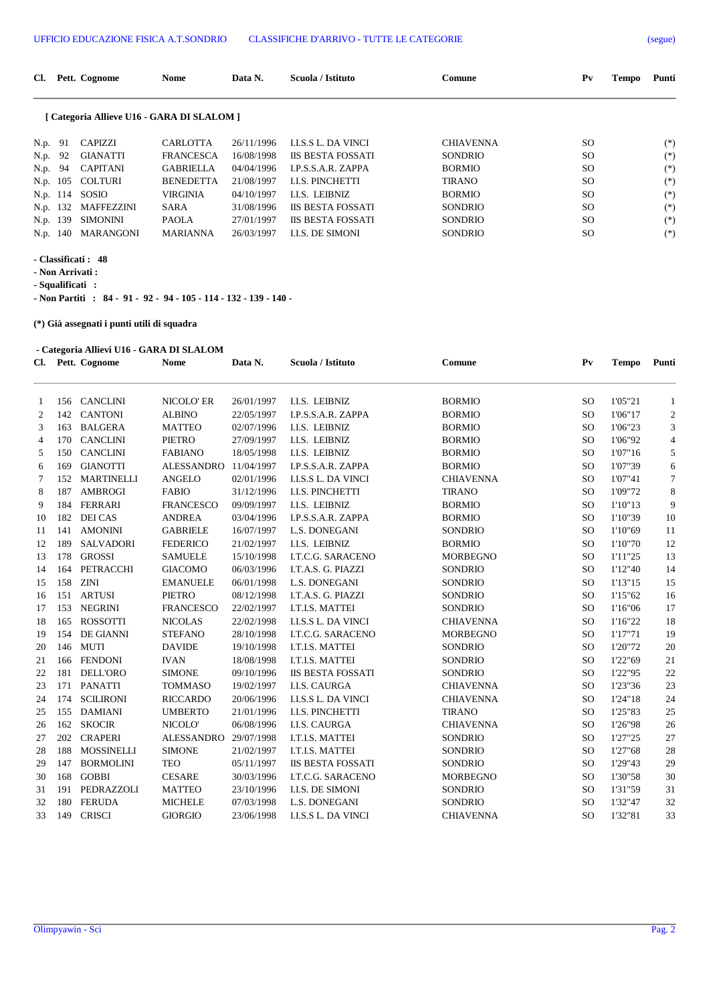| Cl.      |     | Pett. Cognome                              | <b>Nome</b>      | Data N.    | Scuola / Istituto          | Comune           | $P_{V}$ | <b>Tempo</b> | Punti |
|----------|-----|--------------------------------------------|------------------|------------|----------------------------|------------------|---------|--------------|-------|
|          |     | [ Categoria Allieve U16 - GARA DI SLALOM ] |                  |            |                            |                  |         |              |       |
| N.p. 91  |     | CAPIZZI                                    | <b>CARLOTTA</b>  | 26/11/1996 | <b>I.I.S.S L. DA VINCI</b> | <b>CHIAVENNA</b> | SO.     |              | $(*)$ |
| N.p.     | -92 | <b>GIANATTI</b>                            | <b>FRANCESCA</b> | 16/08/1998 | <b>IIS BESTA FOSSATI</b>   | <b>SONDRIO</b>   | SO.     |              | $(*)$ |
| N.p. 94  |     | <b>CAPITANI</b>                            | <b>GABRIELLA</b> | 04/04/1996 | <b>LP.S.S.A.R. ZAPPA</b>   | <b>BORMIO</b>    | SO.     |              | $(*)$ |
|          |     | N.p. 105 COLTURI                           | <b>BENEDETTA</b> | 21/08/1997 | <b>LLS. PINCHETTI</b>      | <b>TIRANO</b>    | SO.     |              | $(*)$ |
|          |     | N.p. 114 SOSIO                             | <b>VIRGINIA</b>  | 04/10/1997 | <b>I.I.S. LEIBNIZ</b>      | <b>BORMIO</b>    | SO.     |              | $(*)$ |
| N.p. 132 |     | <b>MAFFEZZINI</b>                          | <b>SARA</b>      | 31/08/1996 | <b>IIS BESTA FOSSATI</b>   | <b>SONDRIO</b>   | SO.     |              | $(*)$ |
| N.p. 139 |     | <b>SIMONINI</b>                            | <b>PAOLA</b>     | 27/01/1997 | <b>IIS BESTA FOSSATI</b>   | <b>SONDRIO</b>   | SO.     |              | $(*)$ |
| N.p. 140 |     | <b>MARANGONI</b>                           | <b>MARIANNA</b>  | 26/03/1997 | <b>I.I.S. DE SIMONI</b>    | <b>SONDRIO</b>   | SO.     |              | $(*)$ |

**- Classificati : 48**

**- Non Arrivati :** 

**- Squalificati :** 

**- Non Partiti : 84 - 91 - 92 - 94 - 105 - 114 - 132 - 139 - 140 -** 

**(\*) Già assegnati i punti utili di squadra**

## **- Categoria Allievi U16 - GARA DI SLALOM**

| Cl.            |     | Pett. Cognome     | <b>Nome</b>       | Data N.    | Scuola / Istituto          | Comune           | $P_{V}$       | <b>Tempo</b> | Punti            |
|----------------|-----|-------------------|-------------------|------------|----------------------------|------------------|---------------|--------------|------------------|
| $\mathbf{1}$   | 156 | <b>CANCLINI</b>   | NICOLO' ER        | 26/01/1997 | I.I.S. LEIBNIZ             | <b>BORMIO</b>    | SO            | 1'05"21      | $\mathbf{1}$     |
| $\overline{c}$ | 142 | <b>CANTONI</b>    | <b>ALBINO</b>     | 22/05/1997 | <b>I.P.S.S.A.R. ZAPPA</b>  | <b>BORMIO</b>    | SO            | 1'06"17      | $\boldsymbol{2}$ |
| 3              | 163 | <b>BALGERA</b>    | <b>MATTEO</b>     | 02/07/1996 | I.I.S. LEIBNIZ             | <b>BORMIO</b>    | SO            | 1'06"23      | 3                |
| 4              | 170 | <b>CANCLINI</b>   | <b>PIETRO</b>     | 27/09/1997 | I.I.S. LEIBNIZ             | <b>BORMIO</b>    | SO            | 1'06"92      | $\overline{4}$   |
| 5              | 150 | <b>CANCLINI</b>   | <b>FABIANO</b>    | 18/05/1998 | I.I.S. LEIBNIZ             | <b>BORMIO</b>    | SO            | 1'07"16      | 5                |
| 6              | 169 | <b>GIANOTTI</b>   | <b>ALESSANDRO</b> | 11/04/1997 | I.P.S.S.A.R. ZAPPA         | <b>BORMIO</b>    | SO            | 1'07"39      | 6                |
| 7              | 152 | <b>MARTINELLI</b> | <b>ANGELO</b>     | 02/01/1996 | <b>I.I.S.S L. DA VINCI</b> | <b>CHIAVENNA</b> | <sub>SO</sub> | 1'07"41      | $\tau$           |
| 8              | 187 | <b>AMBROGI</b>    | <b>FABIO</b>      | 31/12/1996 | <b>I.I.S. PINCHETTI</b>    | <b>TIRANO</b>    | <sub>SO</sub> | 1'09"72      | 8                |
| 9              | 184 | <b>FERRARI</b>    | <b>FRANCESCO</b>  | 09/09/1997 | I.I.S. LEIBNIZ             | <b>BORMIO</b>    | SO            | 1'10"13      | 9                |
| 10             | 182 | <b>DEI CAS</b>    | <b>ANDREA</b>     | 03/04/1996 | I.P.S.S.A.R. ZAPPA         | <b>BORMIO</b>    | SO            | 1'10"39      | 10               |
| 11             | 141 | <b>AMONINI</b>    | <b>GABRIELE</b>   | 16/07/1997 | L.S. DONEGANI              | <b>SONDRIO</b>   | SO            | 1'10"69      | 11               |
| 12             | 189 | <b>SALVADORI</b>  | <b>FEDERICO</b>   | 21/02/1997 | <b>I.I.S. LEIBNIZ</b>      | <b>BORMIO</b>    | <b>SO</b>     | 1'10"70      | 12               |
| 13             | 178 | <b>GROSSI</b>     | <b>SAMUELE</b>    | 15/10/1998 | <b>I.T.C.G. SARACENO</b>   | <b>MORBEGNO</b>  | SO            | 1'11"25      | 13               |
| 14             | 164 | PETRACCHI         | <b>GIACOMO</b>    | 06/03/1996 | I.T.A.S. G. PIAZZI         | <b>SONDRIO</b>   | SO            | 1'12"40      | 14               |
| 15             | 158 | <b>ZINI</b>       | <b>EMANUELE</b>   | 06/01/1998 | L.S. DONEGANI              | <b>SONDRIO</b>   | SO            | 1'13"15      | 15               |
| 16             | 151 | <b>ARTUSI</b>     | <b>PIETRO</b>     | 08/12/1998 | I.T.A.S. G. PIAZZI         | SONDRIO          | SO            | 1'15"62      | 16               |
| 17             | 153 | <b>NEGRINI</b>    | <b>FRANCESCO</b>  | 22/02/1997 | I.T.I.S. MATTEI            | <b>SONDRIO</b>   | SO            | 1'16"06      | 17               |
| 18             | 165 | <b>ROSSOTTI</b>   | <b>NICOLAS</b>    | 22/02/1998 | <b>I.I.S.S L. DA VINCI</b> | <b>CHIAVENNA</b> | SO            | 1'16"22      | 18               |
| 19             | 154 | DE GIANNI         | <b>STEFANO</b>    | 28/10/1998 | <b>I.T.C.G. SARACENO</b>   | <b>MORBEGNO</b>  | SO            | 1'17"71      | 19               |
| 20             | 146 | <b>MUTI</b>       | <b>DAVIDE</b>     | 19/10/1998 | I.T.I.S. MATTEI            | <b>SONDRIO</b>   | SO            | 1'20"72      | 20               |
| 21             | 166 | <b>FENDONI</b>    | <b>IVAN</b>       | 18/08/1998 | I.T.I.S. MATTEI            | <b>SONDRIO</b>   | <sub>SO</sub> | 1'22"69      | 21               |
| 22             | 181 | <b>DELL'ORO</b>   | <b>SIMONE</b>     | 09/10/1996 | <b>IIS BESTA FOSSATI</b>   | SONDRIO          | SO            | 1'22"95      | 22               |
| 23             | 171 | <b>PANATTI</b>    | <b>TOMMASO</b>    | 19/02/1997 | <b>I.I.S. CAURGA</b>       | <b>CHIAVENNA</b> | SO            | 1'23"36      | 23               |
| 24             | 174 | <b>SCILIRONI</b>  | <b>RICCARDO</b>   | 20/06/1996 | <b>I.I.S.S L. DA VINCI</b> | <b>CHIAVENNA</b> | SO            | 1'24"18      | 24               |
| 25             | 155 | <b>DAMIANI</b>    | <b>UMBERTO</b>    | 21/01/1996 | I.I.S. PINCHETTI           | <b>TIRANO</b>    | SO            | 1'25"83      | 25               |
| 26             | 162 | <b>SKOCIR</b>     | NICOLO'           | 06/08/1996 | <b>I.I.S. CAURGA</b>       | <b>CHIAVENNA</b> | SO            | 1'26"98      | 26               |
| 27             | 202 | <b>CRAPERI</b>    | <b>ALESSANDRO</b> | 29/07/1998 | I.T.I.S. MATTEI            | <b>SONDRIO</b>   | SO            | 1'27"25      | 27               |
| 28             | 188 | <b>MOSSINELLI</b> | <b>SIMONE</b>     | 21/02/1997 | I.T.I.S. MATTEI            | <b>SONDRIO</b>   | SO            | 1'27"68      | 28               |
| 29             | 147 | <b>BORMOLINI</b>  | <b>TEO</b>        | 05/11/1997 | <b>IIS BESTA FOSSATI</b>   | SONDRIO          | SO            | 1'29"43      | 29               |
| 30             | 168 | <b>GOBBI</b>      | <b>CESARE</b>     | 30/03/1996 | <b>I.T.C.G. SARACENO</b>   | <b>MORBEGNO</b>  | <sub>SO</sub> | 1'30"58      | 30               |
| 31             | 191 | PEDRAZZOLI        | <b>MATTEO</b>     | 23/10/1996 | <b>I.I.S. DE SIMONI</b>    | <b>SONDRIO</b>   | <sub>SO</sub> | 1'31"59      | 31               |
| 32             | 180 | <b>FERUDA</b>     | <b>MICHELE</b>    | 07/03/1998 | L.S. DONEGANI              | <b>SONDRIO</b>   | SO            | 1'32"47      | 32               |
| 33             | 149 | <b>CRISCI</b>     | <b>GIORGIO</b>    | 23/06/1998 | <b>I.I.S.S L. DA VINCI</b> | <b>CHIAVENNA</b> | <b>SO</b>     | 1'32"81      | 33               |
|                |     |                   |                   |            |                            |                  |               |              |                  |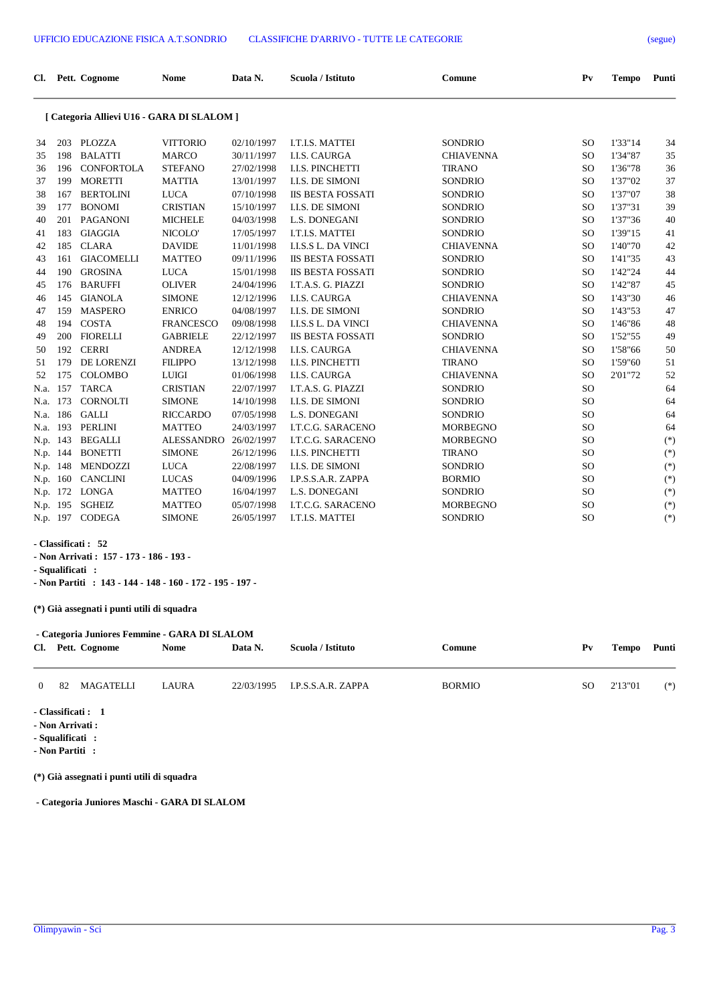| Cl. Pett. Cognome                          | <b>Nome</b> | Data N. | Scuola / Istituto | Comune | P <sub>V</sub> | Tempo Punti |  |
|--------------------------------------------|-------------|---------|-------------------|--------|----------------|-------------|--|
| [ Categoria Allievi U16 - GARA DI SLALOM ] |             |         |                   |        |                |             |  |

## **[ Categoria Allievi U16 - GARA DI SLALOM ]**

| 34       | 203 | PLOZZA            | <b>VITTORIO</b>   | 02/10/1997 | I.T.I.S. MATTEI            | <b>SONDRIO</b>   | <sub>SO</sub> | 1'33"14 | 34    |
|----------|-----|-------------------|-------------------|------------|----------------------------|------------------|---------------|---------|-------|
| 35       | 198 | <b>BALATTI</b>    | <b>MARCO</b>      | 30/11/1997 | <b>I.I.S. CAURGA</b>       | <b>CHIAVENNA</b> | <sub>SO</sub> | 1'34"87 | 35    |
| 36       | 196 | <b>CONFORTOLA</b> | <b>STEFANO</b>    | 27/02/1998 | <b>I.I.S. PINCHETTI</b>    | <b>TIRANO</b>    | <sub>SO</sub> | 1'36"78 | 36    |
| 37       | 199 | <b>MORETTI</b>    | <b>MATTIA</b>     | 13/01/1997 | <b>I.I.S. DE SIMONI</b>    | <b>SONDRIO</b>   | <sub>SO</sub> | 1'37"02 | 37    |
| 38       | 167 | <b>BERTOLINI</b>  | <b>LUCA</b>       | 07/10/1998 | <b>IIS BESTA FOSSATI</b>   | <b>SONDRIO</b>   | <sub>SO</sub> | 1'37"07 | 38    |
| 39       | 177 | <b>BONOMI</b>     | <b>CRISTIAN</b>   | 15/10/1997 | <b>I.I.S. DE SIMONI</b>    | <b>SONDRIO</b>   | <sub>SO</sub> | 1'37"31 | 39    |
| 40       | 201 | <b>PAGANONI</b>   | <b>MICHELE</b>    | 04/03/1998 | L.S. DONEGANI              | <b>SONDRIO</b>   | <sub>SO</sub> | 1'37"36 | 40    |
| 41       | 183 | <b>GIAGGIA</b>    | NICOLO'           | 17/05/1997 | I.T.I.S. MATTEI            | <b>SONDRIO</b>   | <sub>SO</sub> | 1'39"15 | 41    |
| 42       | 185 | <b>CLARA</b>      | <b>DAVIDE</b>     | 11/01/1998 | <b>I.I.S.S L. DA VINCI</b> | <b>CHIAVENNA</b> | <sub>SO</sub> | 1'40"70 | 42    |
| 43       | 161 | <b>GIACOMELLI</b> | <b>MATTEO</b>     | 09/11/1996 | <b>IIS BESTA FOSSATI</b>   | <b>SONDRIO</b>   | <sub>SO</sub> | 1'41"35 | 43    |
| 44       | 190 | <b>GROSINA</b>    | <b>LUCA</b>       | 15/01/1998 | <b>IIS BESTA FOSSATI</b>   | <b>SONDRIO</b>   | <sub>SO</sub> | 1'42"24 | 44    |
| 45       | 176 | <b>BARUFFI</b>    | <b>OLIVER</b>     | 24/04/1996 | I.T.A.S. G. PIAZZI         | <b>SONDRIO</b>   | <sub>SO</sub> | 1'42"87 | 45    |
| 46       | 145 | <b>GIANOLA</b>    | <b>SIMONE</b>     | 12/12/1996 | <b>I.I.S. CAURGA</b>       | <b>CHIAVENNA</b> | <sub>SO</sub> | 1'43"30 | 46    |
| 47       | 159 | <b>MASPERO</b>    | <b>ENRICO</b>     | 04/08/1997 | <b>I.I.S. DE SIMONI</b>    | <b>SONDRIO</b>   | <sub>SO</sub> | 1'43"53 | 47    |
| 48       | 194 | <b>COSTA</b>      | <b>FRANCESCO</b>  | 09/08/1998 | <b>I.I.S.S L. DA VINCI</b> | <b>CHIAVENNA</b> | <sub>SO</sub> | 1'46"86 | 48    |
| 49       | 200 | <b>FIORELLI</b>   | <b>GABRIELE</b>   | 22/12/1997 | <b>IIS BESTA FOSSATI</b>   | <b>SONDRIO</b>   | <sub>SO</sub> | 1'52"55 | 49    |
| 50       | 192 | <b>CERRI</b>      | <b>ANDREA</b>     | 12/12/1998 | <b>I.I.S. CAURGA</b>       | <b>CHIAVENNA</b> | <sub>SO</sub> | 1'58"66 | 50    |
| 51       | 179 | <b>DE LORENZI</b> | <b>FILIPPO</b>    | 13/12/1998 | <b>I.I.S. PINCHETTI</b>    | <b>TIRANO</b>    | <sub>SO</sub> | 1'59"60 | 51    |
| 52       | 175 | <b>COLOMBO</b>    | <b>LUIGI</b>      | 01/06/1998 | <b>I.I.S. CAURGA</b>       | <b>CHIAVENNA</b> | <sub>SO</sub> | 2'01"72 | 52    |
| N.a.     | 157 | <b>TARCA</b>      | <b>CRISTIAN</b>   | 22/07/1997 | I.T.A.S. G. PIAZZI         | <b>SONDRIO</b>   | <sub>SO</sub> |         | 64    |
| N.a.     | 173 | <b>CORNOLTI</b>   | <b>SIMONE</b>     | 14/10/1998 | <b>I.I.S. DE SIMONI</b>    | <b>SONDRIO</b>   | <sub>SO</sub> |         | 64    |
| N.a.     | 186 | <b>GALLI</b>      | <b>RICCARDO</b>   | 07/05/1998 | L.S. DONEGANI              | <b>SONDRIO</b>   | <sub>SO</sub> |         | 64    |
| N.a.     | 193 | PERLINI           | <b>MATTEO</b>     | 24/03/1997 | <b>I.T.C.G. SARACENO</b>   | <b>MORBEGNO</b>  | <sub>SO</sub> |         | 64    |
| N.p.     | 143 | <b>BEGALLI</b>    | <b>ALESSANDRO</b> | 26/02/1997 | <b>I.T.C.G. SARACENO</b>   | <b>MORBEGNO</b>  | <sub>SO</sub> |         | $(*)$ |
| N.p.     | 144 | <b>BONETTI</b>    | <b>SIMONE</b>     | 26/12/1996 | <b>I.I.S. PINCHETTI</b>    | <b>TIRANO</b>    | <sub>SO</sub> |         | $(*)$ |
| N.p.     | 148 | <b>MENDOZZI</b>   | <b>LUCA</b>       | 22/08/1997 | <b>I.I.S. DE SIMONI</b>    | <b>SONDRIO</b>   | <sub>SO</sub> |         | $(*)$ |
| N.p.     | 160 | <b>CANCLINI</b>   | <b>LUCAS</b>      | 04/09/1996 | I.P.S.S.A.R. ZAPPA         | <b>BORMIO</b>    | <sub>SO</sub> |         | $(*)$ |
| N.p.     | 172 | <b>LONGA</b>      | <b>MATTEO</b>     | 16/04/1997 | L.S. DONEGANI              | <b>SONDRIO</b>   | <sub>SO</sub> |         | $(*)$ |
| N.p.     | 195 | <b>SGHEIZ</b>     | <b>MATTEO</b>     | 05/07/1998 | <b>I.T.C.G. SARACENO</b>   | <b>MORBEGNO</b>  | <sub>SO</sub> |         | $(*)$ |
| N.p. 197 |     | <b>CODEGA</b>     | <b>SIMONE</b>     | 26/05/1997 | I.T.I.S. MATTEI            | <b>SONDRIO</b>   | <sub>SO</sub> |         | $(*)$ |
|          |     |                   |                   |            |                            |                  |               |         |       |

## **- Classificati : 52**

**- Non Arrivati : 157 - 173 - 186 - 193 -** 

**- Squalificati :** 

**- Non Partiti : 143 - 144 - 148 - 160 - 172 - 195 - 197 -** 

**(\*) Già assegnati i punti utili di squadra**

|          | - Categoria Juniores Femmine - GARA DI SLALOM |                   |              |         |                               |               |     |         |       |  |  |  |  |
|----------|-----------------------------------------------|-------------------|--------------|---------|-------------------------------|---------------|-----|---------|-------|--|--|--|--|
|          |                                               | Cl. Pett. Cognome | <b>Nome</b>  | Data N. | Scuola / Istituto             | Comune        | Pv  | Tempo   | Punti |  |  |  |  |
|          |                                               |                   |              |         |                               |               |     |         |       |  |  |  |  |
| $\Omega$ | -82                                           | MAGATELLI         | <b>LAURA</b> |         | 22/03/1995 I.P.S.S.A.R. ZAPPA | <b>BORMIO</b> | SO. | 2'13"01 | $(*)$ |  |  |  |  |

**- Classificati : 1**

- **Non Arrivati :**
- **Squalificati :**

**- Non Partiti :** 

**(\*) Già assegnati i punti utili di squadra**

 **- Categoria Juniores Maschi - GARA DI SLALOM**